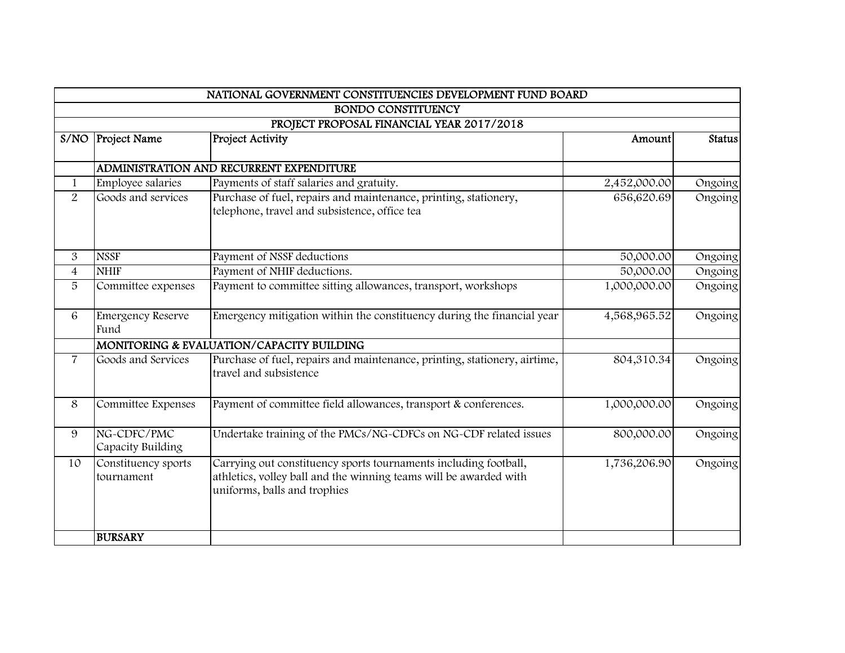|                                |                                   | NATIONAL GOVERNMENT CONSTITUENCIES DEVELOPMENT FUND BOARD                                                                                                             |              |               |
|--------------------------------|-----------------------------------|-----------------------------------------------------------------------------------------------------------------------------------------------------------------------|--------------|---------------|
|                                |                                   | <b>BONDO CONSTITUENCY</b>                                                                                                                                             |              |               |
|                                |                                   | PROJECT PROPOSAL FINANCIAL YEAR 2017/2018                                                                                                                             |              |               |
| S/NO                           | <b>Project Name</b>               | <b>Project Activity</b>                                                                                                                                               | Amount       | <b>Status</b> |
|                                |                                   | <b>ADMINISTRATION AND RECURRENT EXPENDITURE</b>                                                                                                                       |              |               |
|                                | Employee salaries                 | Payments of staff salaries and gratuity.                                                                                                                              | 2,452,000.00 |               |
| $\mathbf{1}$<br>$\overline{2}$ | Goods and services                |                                                                                                                                                                       |              | Ongoing       |
|                                |                                   | Purchase of fuel, repairs and maintenance, printing, stationery,<br>telephone, travel and subsistence, office tea                                                     | 656,620.69   | Ongoing       |
|                                | <b>NSSF</b>                       |                                                                                                                                                                       |              |               |
| 3                              |                                   | Payment of NSSF deductions                                                                                                                                            | 50,000.00    | Ongoing       |
| $\overline{4}$                 | <b>NHIF</b>                       | Payment of NHIF deductions.                                                                                                                                           | 50,000.00    | Ongoing       |
| 5                              | Committee expenses                | Payment to committee sitting allowances, transport, workshops                                                                                                         | 1,000,000.00 | Ongoing       |
| 6                              | <b>Emergency Reserve</b><br>Fund  | Emergency mitigation within the constituency during the financial year                                                                                                | 4,568,965.52 | Ongoing       |
|                                |                                   | MONITORING & EVALUATION/CAPACITY BUILDING                                                                                                                             |              |               |
| $\overline{7}$                 | Goods and Services                | Purchase of fuel, repairs and maintenance, printing, stationery, airtime,<br>travel and subsistence                                                                   | 804,310.34   | Ongoing       |
| 8                              | Committee Expenses                | Payment of committee field allowances, transport & conferences.                                                                                                       | 1,000,000.00 | Ongoing       |
| 9                              | NG-CDFC/PMC<br>Capacity Building  | Undertake training of the PMCs/NG-CDFCs on NG-CDF related issues                                                                                                      | 800,000.00   | Ongoing       |
| 10                             | Constituency sports<br>tournament | Carrying out constituency sports tournaments including football,<br>athletics, volley ball and the winning teams will be awarded with<br>uniforms, balls and trophies | 1,736,206.90 | Ongoing       |
|                                | <b>BURSARY</b>                    |                                                                                                                                                                       |              |               |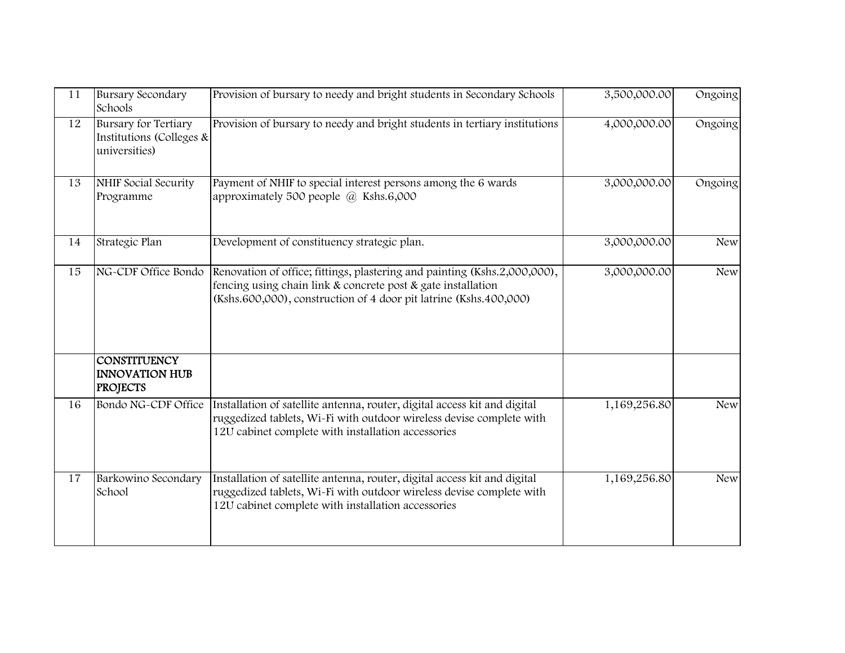| 11 | <b>Bursary Secondary</b><br>Schools                                      | Provision of bursary to needy and bright students in Secondary Schools                                                                                                                                         | 3,500,000.00 | Ongoing    |
|----|--------------------------------------------------------------------------|----------------------------------------------------------------------------------------------------------------------------------------------------------------------------------------------------------------|--------------|------------|
| 12 | <b>Bursary for Tertiary</b><br>Institutions (Colleges &<br>universities) | Provision of bursary to needy and bright students in tertiary institutions                                                                                                                                     | 4,000,000.00 | Ongoing    |
| 13 | <b>NHIF Social Security</b><br>Programme                                 | Payment of NHIF to special interest persons among the 6 wards<br>approximately 500 people $(a)$ Kshs.6,000                                                                                                     | 3,000,000.00 | Ongoing    |
| 14 | Strategic Plan                                                           | Development of constituency strategic plan.                                                                                                                                                                    | 3,000,000.00 | <b>New</b> |
| 15 | NG-CDF Office Bondo                                                      | Renovation of office; fittings, plastering and painting (Kshs.2,000,000),<br>fencing using chain link & concrete post & gate installation<br>(Kshs.600,000), construction of 4 door pit latrine (Kshs.400,000) | 3,000,000.00 | <b>New</b> |
|    | <b>CONSTITUENCY</b><br><b>INNOVATION HUB</b><br><b>PROJECTS</b>          |                                                                                                                                                                                                                |              |            |
| 16 | Bondo NG-CDF Office                                                      | Installation of satellite antenna, router, digital access kit and digital<br>ruggedized tablets, Wi-Fi with outdoor wireless devise complete with<br>12U cabinet complete with installation accessories        | 1,169,256.80 | <b>New</b> |
| 17 | Barkowino Secondary<br>School                                            | Installation of satellite antenna, router, digital access kit and digital<br>ruggedized tablets, Wi-Fi with outdoor wireless devise complete with<br>12U cabinet complete with installation accessories        | 1,169,256.80 | <b>New</b> |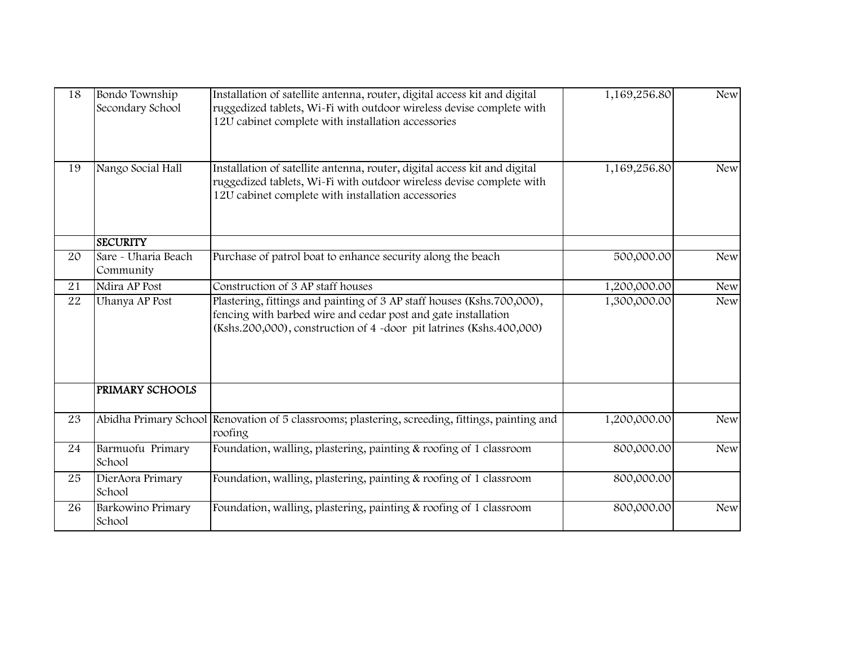| 18 | Bondo Township<br>Secondary School | Installation of satellite antenna, router, digital access kit and digital<br>ruggedized tablets, Wi-Fi with outdoor wireless devise complete with<br>12U cabinet complete with installation accessories        | 1,169,256.80 | <b>New</b> |
|----|------------------------------------|----------------------------------------------------------------------------------------------------------------------------------------------------------------------------------------------------------------|--------------|------------|
| 19 | Nango Social Hall                  | Installation of satellite antenna, router, digital access kit and digital<br>ruggedized tablets, Wi-Fi with outdoor wireless devise complete with<br>12U cabinet complete with installation accessories        | 1,169,256.80 | <b>New</b> |
|    | <b>SECURITY</b>                    |                                                                                                                                                                                                                |              |            |
| 20 | Sare - Uharia Beach<br>Community   | Purchase of patrol boat to enhance security along the beach                                                                                                                                                    | 500,000.00   | <b>New</b> |
| 21 | Ndira AP Post                      | Construction of 3 AP staff houses                                                                                                                                                                              | 1,200,000.00 | <b>New</b> |
| 22 | Uhanya AP Post                     | Plastering, fittings and painting of 3 AP staff houses (Kshs.700,000),<br>fencing with barbed wire and cedar post and gate installation<br>(Kshs.200,000), construction of 4 -door pit latrines (Kshs.400,000) | 1,300,000.00 | <b>New</b> |
|    | <b>PRIMARY SCHOOLS</b>             |                                                                                                                                                                                                                |              |            |
| 23 |                                    | Abidha Primary School Renovation of 5 classrooms; plastering, screeding, fittings, painting and<br>roofing                                                                                                     | 1,200,000.00 | <b>New</b> |
| 24 | Barmuofu Primary<br>School         | Foundation, walling, plastering, painting & roofing of 1 classroom                                                                                                                                             | 800,000.00   | <b>New</b> |
| 25 | DierAora Primary<br>School         | Foundation, walling, plastering, painting & roofing of 1 classroom                                                                                                                                             | 800,000.00   |            |
| 26 | Barkowino Primary<br>School        | Foundation, walling, plastering, painting & roofing of 1 classroom                                                                                                                                             | 800,000.00   | <b>New</b> |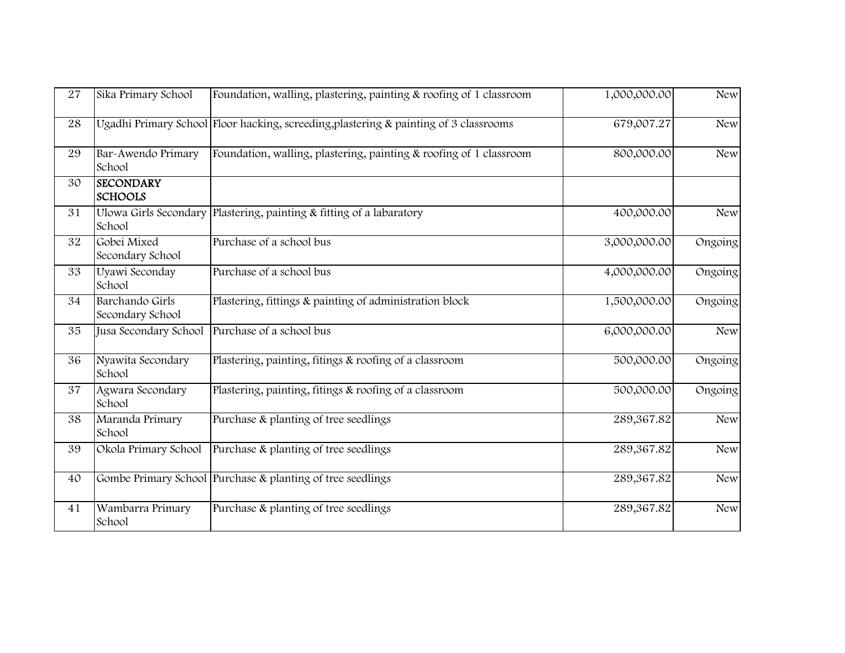| 27 | Sika Primary School                 | Foundation, walling, plastering, painting & roofing of 1 classroom                       | 1,000,000.00 | <b>New</b> |
|----|-------------------------------------|------------------------------------------------------------------------------------------|--------------|------------|
| 28 |                                     | Ugadhi Primary School Floor hacking, screeding, plastering $\&$ painting of 3 classrooms | 679,007.27   | <b>New</b> |
| 29 | Bar-Awendo Primary<br>School        | Foundation, walling, plastering, painting & roofing of 1 classroom                       | 800,000.00   | <b>New</b> |
| 30 | <b>SECONDARY</b><br><b>SCHOOLS</b>  |                                                                                          |              |            |
| 31 | School                              | Ulowa Girls Secondary Plastering, painting & fitting of a labaratory                     | 400,000.00   | <b>New</b> |
| 32 | Gobei Mixed<br>Secondary School     | Purchase of a school bus                                                                 | 3,000,000.00 | Ongoing    |
| 33 | Uyawi Seconday<br>School            | Purchase of a school bus                                                                 | 4,000,000.00 | Ongoing    |
| 34 | Barchando Girls<br>Secondary School | Plastering, fittings & painting of administration block                                  | 1,500,000.00 | Ongoing    |
| 35 | Jusa Secondary School               | Purchase of a school bus                                                                 | 6,000,000.00 | <b>New</b> |
| 36 | Nyawita Secondary<br>School         | Plastering, painting, fitings & roofing of a classroom                                   | 500,000.00   | Ongoing    |
| 37 | Agwara Secondary<br>School          | Plastering, painting, fitings & roofing of a classroom                                   | 500,000.00   | Ongoing    |
| 38 | Maranda Primary<br>School           | Purchase & planting of tree seedlings                                                    | 289,367.82   | <b>New</b> |
| 39 | Okola Primary School                | Purchase & planting of tree seedlings                                                    | 289,367.82   | <b>New</b> |
| 40 |                                     | Gombe Primary School Purchase & planting of tree seedlings                               | 289,367.82   | <b>New</b> |
| 41 | Wambarra Primary<br>School          | Purchase & planting of tree seedlings                                                    | 289,367.82   | <b>New</b> |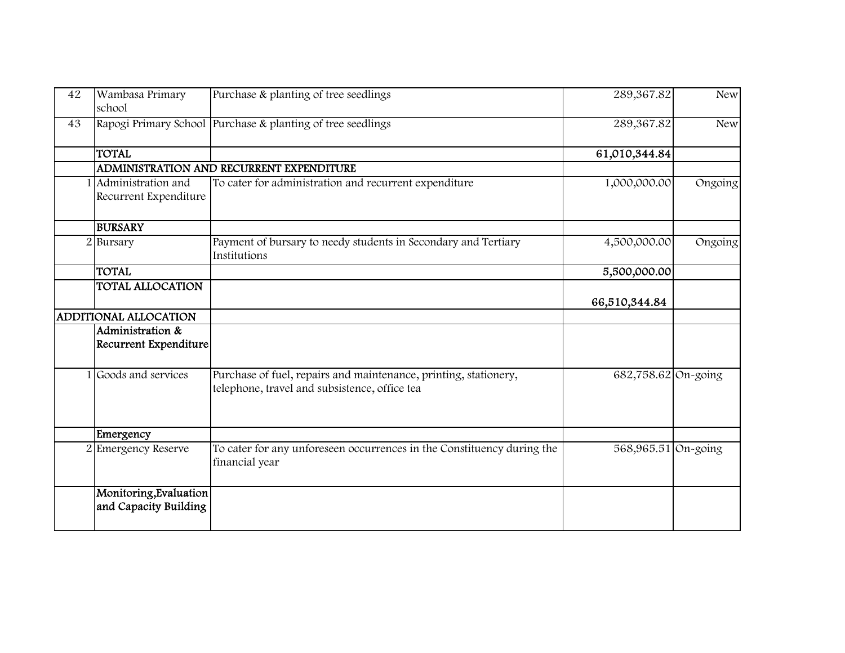| 42             | Wambasa Primary<br>school                       | Purchase & planting of tree seedlings                                                                             | 289,367.82          | <b>New</b> |
|----------------|-------------------------------------------------|-------------------------------------------------------------------------------------------------------------------|---------------------|------------|
| 43             |                                                 | Rapogi Primary School Purchase & planting of tree seedlings                                                       | 289,367.82          | <b>New</b> |
|                | <b>TOTAL</b>                                    |                                                                                                                   | 61,010,344.84       |            |
|                |                                                 | ADMINISTRATION AND RECURRENT EXPENDITURE                                                                          |                     |            |
|                | Administration and<br>Recurrent Expenditure     | To cater for administration and recurrent expenditure                                                             | 1,000,000.00        | Ongoing    |
|                | <b>BURSARY</b>                                  |                                                                                                                   |                     |            |
| $\overline{2}$ | Bursary                                         | Payment of bursary to needy students in Secondary and Tertiary<br>Institutions                                    | 4,500,000.00        | Ongoing    |
|                | <b>TOTAL</b>                                    |                                                                                                                   | 5,500,000.00        |            |
|                | <b>TOTAL ALLOCATION</b>                         |                                                                                                                   | 66,510,344.84       |            |
|                | ADDITIONAL ALLOCATION                           |                                                                                                                   |                     |            |
|                | Administration &<br>Recurrent Expenditure       |                                                                                                                   |                     |            |
|                | 1 Goods and services                            | Purchase of fuel, repairs and maintenance, printing, stationery,<br>telephone, travel and subsistence, office tea | 682,758.62 On-going |            |
|                | Emergency                                       |                                                                                                                   |                     |            |
|                | <b>Emergency Reserve</b>                        | To cater for any unforeseen occurrences in the Constituency during the<br>financial year                          | 568,965.51 On-going |            |
|                | Monitoring, Evaluation<br>and Capacity Building |                                                                                                                   |                     |            |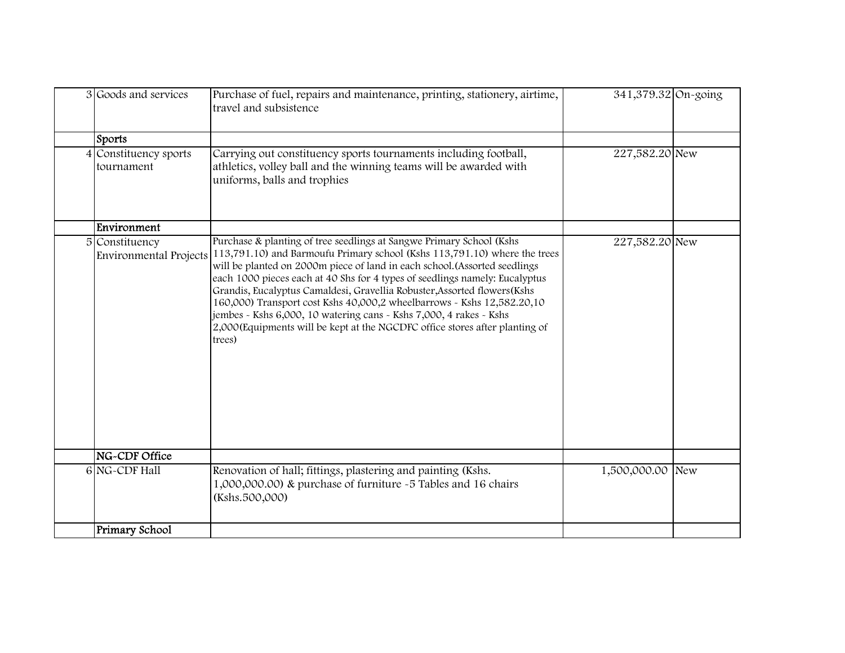| 3 Goods and services                     | Purchase of fuel, repairs and maintenance, printing, stationery, airtime,<br>travel and subsistence                                                                                                                                                                                                                                                                                                                                                                                                                                                                                                                                   | 341,379.32 On-going |  |
|------------------------------------------|---------------------------------------------------------------------------------------------------------------------------------------------------------------------------------------------------------------------------------------------------------------------------------------------------------------------------------------------------------------------------------------------------------------------------------------------------------------------------------------------------------------------------------------------------------------------------------------------------------------------------------------|---------------------|--|
| Sports                                   |                                                                                                                                                                                                                                                                                                                                                                                                                                                                                                                                                                                                                                       |                     |  |
| 4 Constituency sports<br>tournament      | Carrying out constituency sports tournaments including football,<br>athletics, volley ball and the winning teams will be awarded with<br>uniforms, balls and trophies                                                                                                                                                                                                                                                                                                                                                                                                                                                                 | 227,582.20 New      |  |
| Environment                              |                                                                                                                                                                                                                                                                                                                                                                                                                                                                                                                                                                                                                                       |                     |  |
| 5 Constituency<br>Environmental Projects | Purchase & planting of tree seedlings at Sangwe Primary School (Kshs<br>113,791.10) and Barmoufu Primary school (Kshs 113,791.10) where the trees<br>will be planted on 2000m piece of land in each school. (Assorted seedlings<br>each 1000 pieces each at 40 Shs for 4 types of seedlings namely: Eucalyptus<br>Grandis, Eucalyptus Camaldesi, Gravellia Robuster, Assorted flowers (Kshs<br>160,000) Transport cost Kshs 40,000,2 wheelbarrows - Kshs 12,582.20,10<br>jembes - Kshs 6,000, 10 watering cans - Kshs 7,000, 4 rakes - Kshs<br>2,000 (Equipments will be kept at the NGCDFC office stores after planting of<br>trees) | 227,582.20 New      |  |
| NG-CDF Office                            |                                                                                                                                                                                                                                                                                                                                                                                                                                                                                                                                                                                                                                       |                     |  |
| 6 NG-CDF Hall                            | Renovation of hall; fittings, plastering and painting (Kshs.<br>1,000,000.00) & purchase of furniture ~5 Tables and 16 chairs<br>(Kshs.500,000)                                                                                                                                                                                                                                                                                                                                                                                                                                                                                       | 1,500,000.00 New    |  |
| Primary School                           |                                                                                                                                                                                                                                                                                                                                                                                                                                                                                                                                                                                                                                       |                     |  |